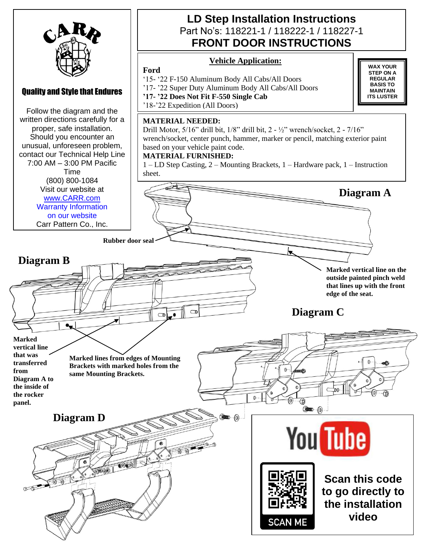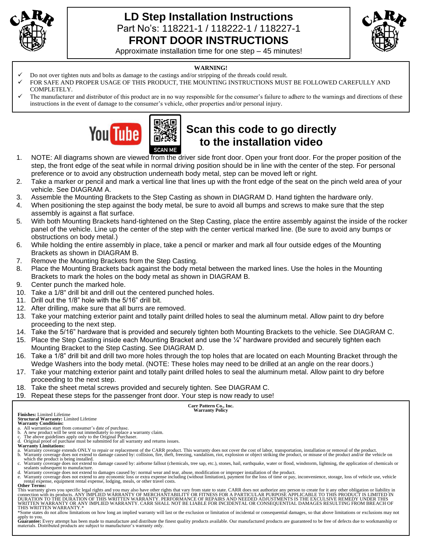

### **LD Step Installation Instructions**  Part No's: 118221-1 / 118222-1 / 118227-1 **FRONT DOOR INSTRUCTIONS**



Approximate installation time for one step – 45 minutes!

#### **WARNING!**

- ✓ Do not over tighten nuts and bolts as damage to the castings and/or stripping of the threads could result.
- FOR SAFE AND PROPER USAGE OF THIS PRODUCT, THE MOUNTING INSTRUCTIONS MUST BE FOLLOWED CAREFULLY AND COMPLETELY.
- The manufacturer and distributor of this product are in no way responsible for the consumer's failure to adhere to the warnings and directions of these instructions in the event of damage to the consumer's vehicle, other properties and/or personal injury.



# **Scan this code to go directly to the installation video**

- 1. NOTE: All diagrams shown are viewed from the driver side front door. Open your front door. For the proper position of the step, the front edge of the seat while in normal driving position should be in line with the center of the step. For personal preference or to avoid any obstruction underneath body metal, step can be moved left or right.
- 2. Take a marker or pencil and mark a vertical line that lines up with the front edge of the seat on the pinch weld area of your vehicle. See DIAGRAM A.
- 3. Assemble the Mounting Brackets to the Step Casting as shown in DIAGRAM D. Hand tighten the hardware only.
- 4. When positioning the step against the body metal, be sure to avoid all bumps and screws to make sure that the step assembly is against a flat surface.
- 5. With both Mounting Brackets hand-tightened on the Step Casting, place the entire assembly against the inside of the rocker panel of the vehicle. Line up the center of the step with the center vertical marked line. (Be sure to avoid any bumps or obstructions on body metal.)
- 6. While holding the entire assembly in place, take a pencil or marker and mark all four outside edges of the Mounting Brackets as shown in DIAGRAM B.
- 7. Remove the Mounting Brackets from the Step Casting.
- 8. Place the Mounting Brackets back against the body metal between the marked lines. Use the holes in the Mounting Brackets to mark the holes on the body metal as shown in DIAGRAM B.
- 9. Center punch the marked hole.
- 10. Take a 1/8" drill bit and drill out the centered punched holes.
- 11. Drill out the 1/8" hole with the 5/16" drill bit.
- 12. After drilling, make sure that all burrs are removed.
- 13. Take your matching exterior paint and totally paint drilled holes to seal the aluminum metal. Allow paint to dry before proceeding to the next step.
- 14. Take the 5/16" hardware that is provided and securely tighten both Mounting Brackets to the vehicle. See DIAGRAM C.
- 15. Place the Step Casting inside each Mounting Bracket and use the  $\frac{1}{4}$ " hardware provided and securely tighten each Mounting Bracket to the Step Casting. See DIAGRAM D.
- 16. Take a 1/8" drill bit and drill two more holes through the top holes that are located on each Mounting Bracket through the Wedge Washers into the body metal. (NOTE: These holes may need to be drilled at an angle on the rear doors.)
- 17. Take your matching exterior paint and totally paint drilled holes to seal the aluminum metal. Allow paint to dry before proceeding to the next step.
- 18. Take the sheet metal screws provided and securely tighten. See DIAGRAM C.
- 19. Repeat these steps for the passenger front door. Your step is now ready to use!

**Carr Pattern Co., Inc. Warranty Policy**

**Finishes:** Limited Lifetime

**Structural Warranty:** Limited Lifetime **Warranty Conditions:**

- a. All warranties start from consumer's date of purchase. b. A new product will be sent out immediately to replace a warranty claim. c. The above guidelines apply only to the Original Purchaser.
- d. Original proof of purchase must be submitted for all warranty and returns issues. **Warranty Limitations:**
- 
- a. Warranty coverage extends ONLY to repair or replacement of the CARR product. This warranty does not cover the cost of labor, transportation, installation or removal of the product.<br>b. Warranty coverage does not extend t
- which the product is being installed.<br>c. Warranty coverage does not extend to damage caused by: airborne fallout (chemicals, tree sap, etc.), stones, hail, earthquake, water or flood, windstorm, lightning, the application sealants subsequent to manufacture.
- d. Warranty coverage does not extend to damages caused by: normal wear and tear, abuse, modification or improper installation of the product.<br>e. Warranty coverage does not extend to any economic loss or extra expense inclu

rental expense, equipment rental expense, lodging, meals, or other travel costs. **Other Terms:**

This warranty gives you specific legal rights and you may also have other rights that vary from state to state. CARR does not authorize any person to create for it any other obligation or liability in<br>connection with its p WRITTEN WARRANTY OR ANY IMPLIED WARRANTY. CARR SHALL NOT BE LIABLE FOR INCIDENTAL OR CONSEQUENTIAL DAMAGES RESULTING FROM BREACH OF<br>THIS WRITTEN WARRANTY.\*

\*Some states do not allow limitations on how long an implied warranty will last or the exclusion or limitation of incidental or consequential damages, so that above limitations or exclusions may not

apply to you.<br>Guarantee: Every attempt has been made to manufacture and distribute the finest quality products available. Our manufactured products are guaranteed to be free of defects due to workmanship or materials. Distributed products are subject to manufacturer's warranty only.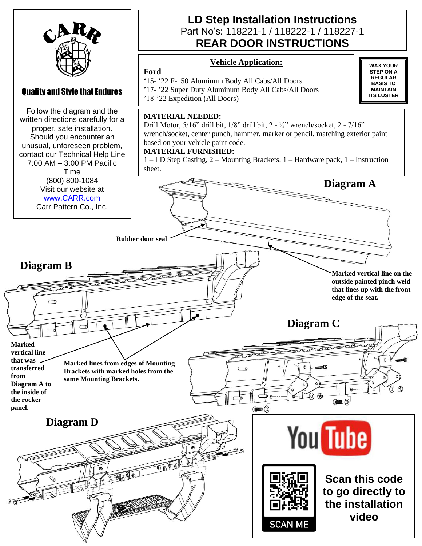